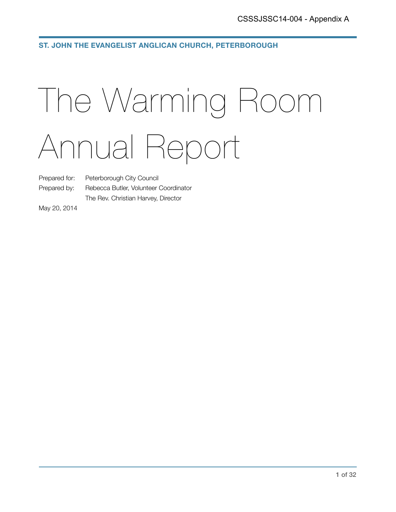**ST. JOHN THE EVANGELIST ANGLICAN CHURCH, PETERBOROUGH**

# The Warming Room Annual Report

Prepared for: Peterborough City Council

Prepared by: Rebecca Butler, Volunteer Coordinator The Rev. Christian Harvey, Director

May 20, 2014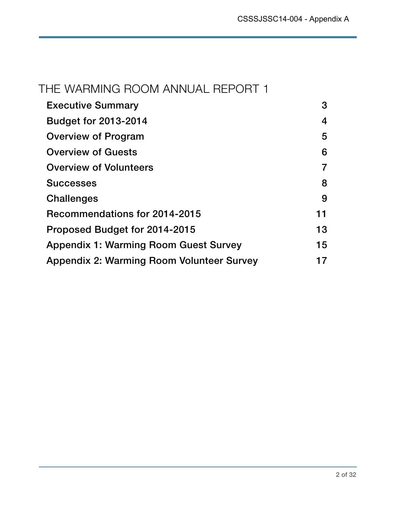### THE WARMING ROOM ANNUAL REPORT 1

| <b>Executive Summary</b>                         | 3  |
|--------------------------------------------------|----|
| <b>Budget for 2013-2014</b>                      | 4  |
| Overview of Program                              | 5  |
| <b>Overview of Guests</b>                        | 6  |
| <b>Overview of Volunteers</b>                    |    |
| <b>Successes</b>                                 | 8  |
| Challenges                                       | 9  |
| Recommendations for 2014-2015                    | 11 |
| Proposed Budget for 2014-2015                    | 13 |
| <b>Appendix 1: Warming Room Guest Survey</b>     | 15 |
| <b>Appendix 2: Warming Room Volunteer Survey</b> |    |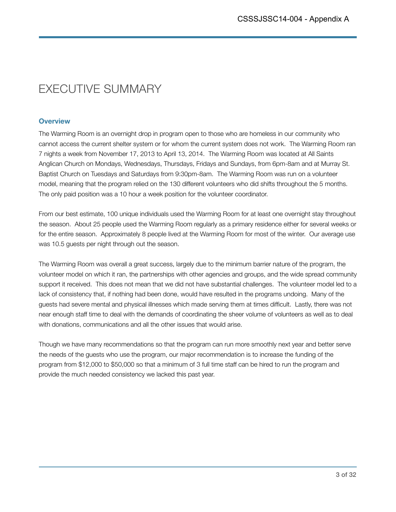### EXECUTIVE SUMMARY

### **Overview**

The Warming Room is an overnight drop in program open to those who are homeless in our community who cannot access the current shelter system or for whom the current system does not work. The Warming Room ran 7 nights a week from November 17, 2013 to April 13, 2014. The Warming Room was located at All Saints Anglican Church on Mondays, Wednesdays, Thursdays, Fridays and Sundays, from 6pm-8am and at Murray St. Baptist Church on Tuesdays and Saturdays from 9:30pm-8am. The Warming Room was run on a volunteer model, meaning that the program relied on the 130 different volunteers who did shifts throughout the 5 months. The only paid position was a 10 hour a week position for the volunteer coordinator.

From our best estimate, 100 unique individuals used the Warming Room for at least one overnight stay throughout the season. About 25 people used the Warming Room regularly as a primary residence either for several weeks or for the entire season. Approximately 8 people lived at the Warming Room for most of the winter. Our average use was 10.5 guests per night through out the season.

The Warming Room was overall a great success, largely due to the minimum barrier nature of the program, the volunteer model on which it ran, the partnerships with other agencies and groups, and the wide spread community support it received. This does not mean that we did not have substantial challenges. The volunteer model led to a lack of consistency that, if nothing had been done, would have resulted in the programs undoing. Many of the guests had severe mental and physical illnesses which made serving them at times difficult. Lastly, there was not near enough staff time to deal with the demands of coordinating the sheer volume of volunteers as well as to deal with donations, communications and all the other issues that would arise.

Though we have many recommendations so that the program can run more smoothly next year and better serve the needs of the guests who use the program, our major recommendation is to increase the funding of the program from \$12,000 to \$50,000 so that a minimum of 3 full time staff can be hired to run the program and provide the much needed consistency we lacked this past year.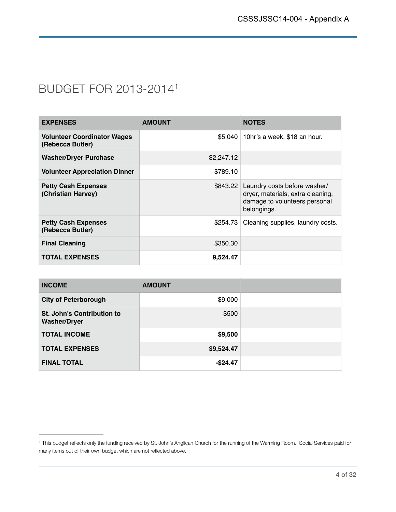### BUDGET FOR 2013-20141

| <b>EXPENSES</b>                                        | <b>AMOUNT</b> | <b>NOTES</b>                                                                                                               |
|--------------------------------------------------------|---------------|----------------------------------------------------------------------------------------------------------------------------|
| <b>Volunteer Coordinator Wages</b><br>(Rebecca Butler) | \$5.040       | 10hr's a week, \$18 an hour.                                                                                               |
| <b>Washer/Dryer Purchase</b>                           | \$2,247.12    |                                                                                                                            |
| <b>Volunteer Appreciation Dinner</b>                   | \$789.10      |                                                                                                                            |
| <b>Petty Cash Expenses</b><br>(Christian Harvey)       |               | \$843.22 Laundry costs before washer/<br>dryer, materials, extra cleaning,<br>damage to volunteers personal<br>belongings. |
| <b>Petty Cash Expenses</b><br>(Rebecca Butler)         | \$254.73      | Cleaning supplies, laundry costs.                                                                                          |
| <b>Final Cleaning</b>                                  | \$350.30      |                                                                                                                            |
| <b>TOTAL EXPENSES</b>                                  | 9.524.47      |                                                                                                                            |

| <b>INCOME</b>                                     | <b>AMOUNT</b> |  |
|---------------------------------------------------|---------------|--|
| <b>City of Peterborough</b>                       | \$9,000       |  |
| St. John's Contribution to<br><b>Washer/Dryer</b> | \$500         |  |
| <b>TOTAL INCOME</b>                               | \$9,500       |  |
| <b>TOTAL EXPENSES</b>                             | \$9,524.47    |  |
| <b>FINAL TOTAL</b>                                | $-$ \$24.47   |  |

<sup>&</sup>lt;sup>1</sup> This budget reflects only the funding received by St. John's Anglican Church for the running of the Warming Room. Social Services paid for many items out of their own budget which are not reflected above.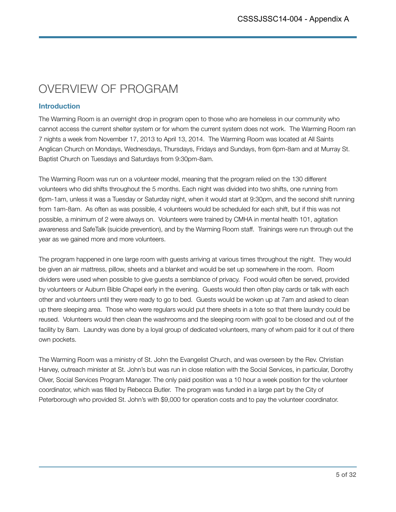# OVERVIEW OF PROGRAM

### **Introduction**

The Warming Room is an overnight drop in program open to those who are homeless in our community who cannot access the current shelter system or for whom the current system does not work. The Warming Room ran 7 nights a week from November 17, 2013 to April 13, 2014. The Warming Room was located at All Saints Anglican Church on Mondays, Wednesdays, Thursdays, Fridays and Sundays, from 6pm-8am and at Murray St. Baptist Church on Tuesdays and Saturdays from 9:30pm-8am.

The Warming Room was run on a volunteer model, meaning that the program relied on the 130 different volunteers who did shifts throughout the 5 months. Each night was divided into two shifts, one running from 6pm-1am, unless it was a Tuesday or Saturday night, when it would start at 9:30pm, and the second shift running from 1am-8am. As often as was possible, 4 volunteers would be scheduled for each shift, but if this was not possible, a minimum of 2 were always on. Volunteers were trained by CMHA in mental health 101, agitation awareness and SafeTalk (suicide prevention), and by the Warming Room staff. Trainings were run through out the year as we gained more and more volunteers.

The program happened in one large room with guests arriving at various times throughout the night. They would be given an air mattress, pillow, sheets and a blanket and would be set up somewhere in the room. Room dividers were used when possible to give guests a semblance of privacy. Food would often be served, provided by volunteers or Auburn Bible Chapel early in the evening. Guests would then often play cards or talk with each other and volunteers until they were ready to go to bed. Guests would be woken up at 7am and asked to clean up there sleeping area. Those who were regulars would put there sheets in a tote so that there laundry could be reused. Volunteers would then clean the washrooms and the sleeping room with goal to be closed and out of the facility by 8am. Laundry was done by a loyal group of dedicated volunteers, many of whom paid for it out of there own pockets.

The Warming Room was a ministry of St. John the Evangelist Church, and was overseen by the Rev. Christian Harvey, outreach minister at St. John's but was run in close relation with the Social Services, in particular, Dorothy Olver, Social Services Program Manager. The only paid position was a 10 hour a week position for the volunteer coordinator, which was filled by Rebecca Butler. The program was funded in a large part by the City of Peterborough who provided St. John's with \$9,000 for operation costs and to pay the volunteer coordinator.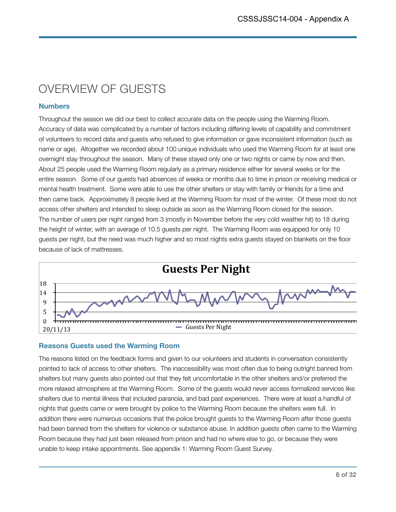# OVERVIEW OF GUESTS

### **Numbers**

Throughout the season we did our best to collect accurate data on the people using the Warming Room. Accuracy of data was complicated by a number of factors including differing levels of capability and commitment of volunteers to record data and guests who refused to give information or gave inconsistent information (such as name or age). Altogether we recorded about 100 unique individuals who used the Warming Room for at least one overnight stay throughout the season. Many of these stayed only one or two nights or came by now and then. About 25 people used the Warming Room regularly as a primary residence either for several weeks or for the entire season. Some of our guests had absences of weeks or months due to time in prison or receiving medical or mental health treatment. Some were able to use the other shelters or stay with family or friends for a time and then came back. Approximately 8 people lived at the Warming Room for most of the winter. Of these most do not access other shelters and intended to sleep outside as soon as the Warming Room closed for the season. The number of users per night ranged from 3 (mostly in November before the very cold weather hit) to 18 during the height of winter, with an average of 10.5 guests per night. The Warming Room was equipped for only 10 guests per night, but the need was much higher and so most nights extra guests stayed on blankets on the floor because of lack of mattresses.



### **Reasons Guests used the Warming Room**

The reasons listed on the feedback forms and given to our volunteers and students in conversation consistently pointed to lack of access to other shelters. The inaccessibility was most often due to being outright banned from shelters but many guests also pointed out that they felt uncomfortable in the other shelters and/or preferred the more relaxed atmosphere at the Warming Room. Some of the guests would never access formalized services like shelters due to mental illness that included paranoia, and bad past experiences. There were at least a handful of nights that guests came or were brought by police to the Warming Room because the shelters were full. In addition there were numerous occasions that the police brought guests to the Warming Room after those guests had been banned from the shelters for violence or substance abuse. In addition guests often came to the Warming Room because they had just been released from prison and had no where else to go, or because they were unable to keep intake appointments. See appendix 1: Warming Room Guest Survey.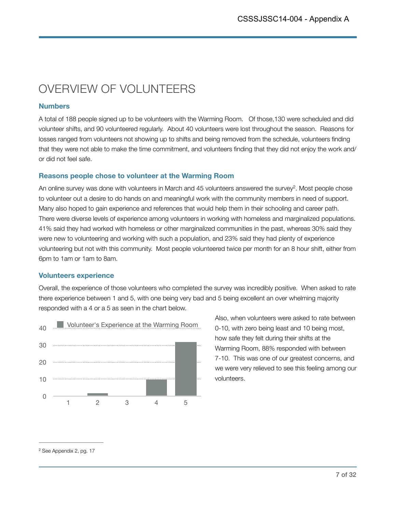# OVERVIEW OF VOLUNTEERS

### **Numbers**

A total of 188 people signed up to be volunteers with the Warming Room. Of those,130 were scheduled and did volunteer shifts, and 90 volunteered regularly. About 40 volunteers were lost throughout the season. Reasons for losses ranged from volunteers not showing up to shifts and being removed from the schedule, volunteers finding that they were not able to make the time commitment, and volunteers finding that they did not enjoy the work and/ or did not feel safe.

### **Reasons people chose to volunteer at the Warming Room**

An online survey was done with volunteers in March and  $45$  volunteers answered the survey<sup>2</sup>. Most people chose to volunteer out a desire to do hands on and meaningful work with the community members in need of support. Many also hoped to gain experience and references that would help them in their schooling and career path. There were diverse levels of experience among volunteers in working with homeless and marginalized populations. 41% said they had worked with homeless or other marginalized communities in the past, whereas 30% said they were new to volunteering and working with such a population, and 23% said they had plenty of experience volunteering but not with this community. Most people volunteered twice per month for an 8 hour shift, either from 6pm to 1am or 1am to 8am.

### **Volunteers experience**

Overall, the experience of those volunteers who completed the survey was incredibly positive. When asked to rate there experience between 1 and 5, with one being very bad and 5 being excellent an over whelming majority responded with a 4 or a 5 as seen in the chart below.



Also, when volunteers were asked to rate between 0-10, with zero being least and 10 being most, how safe they felt during their shifts at the Warming Room, 88% responded with between 7-10. This was one of our greatest concerns, and we were very relieved to see this feeling among our volunteers.

<sup>&</sup>lt;sup>2</sup> See Appendix 2, pg. 17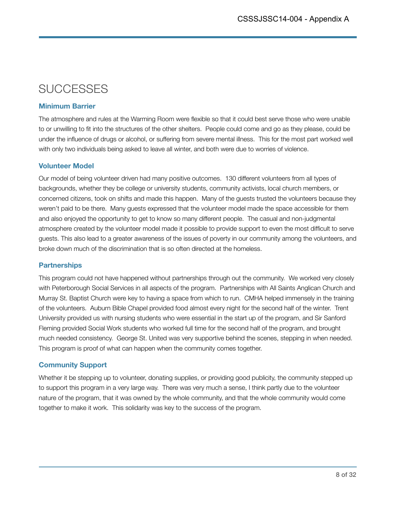# **SUCCESSES**

### **Minimum Barrier**

The atmosphere and rules at the Warming Room were flexible so that it could best serve those who were unable to or unwilling to fit into the structures of the other shelters. People could come and go as they please, could be under the influence of drugs or alcohol, or suffering from severe mental illness. This for the most part worked well with only two individuals being asked to leave all winter, and both were due to worries of violence.

### **Volunteer Model**

Our model of being volunteer driven had many positive outcomes. 130 different volunteers from all types of backgrounds, whether they be college or university students, community activists, local church members, or concerned citizens, took on shifts and made this happen. Many of the guests trusted the volunteers because they weren't paid to be there. Many guests expressed that the volunteer model made the space accessible for them and also enjoyed the opportunity to get to know so many different people. The casual and non-judgmental atmosphere created by the volunteer model made it possible to provide support to even the most difficult to serve guests. This also lead to a greater awareness of the issues of poverty in our community among the volunteers, and broke down much of the discrimination that is so often directed at the homeless.

### **Partnerships**

This program could not have happened without partnerships through out the community. We worked very closely with Peterborough Social Services in all aspects of the program. Partnerships with All Saints Anglican Church and Murray St. Baptist Church were key to having a space from which to run. CMHA helped immensely in the training of the volunteers. Auburn Bible Chapel provided food almost every night for the second half of the winter. Trent University provided us with nursing students who were essential in the start up of the program, and Sir Sanford Fleming provided Social Work students who worked full time for the second half of the program, and brought much needed consistency. George St. United was very supportive behind the scenes, stepping in when needed. This program is proof of what can happen when the community comes together.

### **Community Support**

Whether it be stepping up to volunteer, donating supplies, or providing good publicity, the community stepped up to support this program in a very large way. There was very much a sense, I think partly due to the volunteer nature of the program, that it was owned by the whole community, and that the whole community would come together to make it work. This solidarity was key to the success of the program.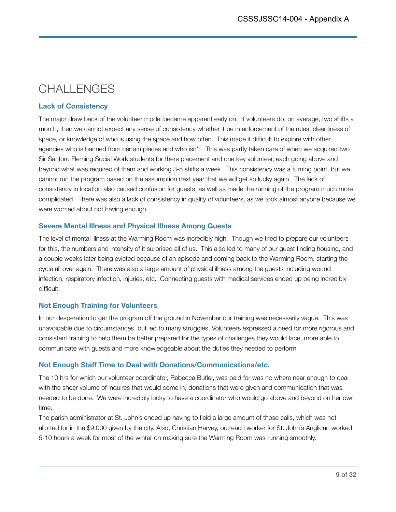# CHALLENGES

### **Lack of Consistency**

The major draw back of the volunteer model became apparent early on. If volunteers do, on average, two shifts a month, then we cannot expect any sense of consistency whether it be in enforcement of the rules, cleanliness of space, or knowledge of who is using the space and how often. This made it difficult to explore with other agencies who is banned from certain places and who isn't. This was partly taken care of when we acquired two Sir Sanford Fleming Social Work students for there placement and one key volunteer, each going above and beyond what was required of them and working 3-5 shifts a week. This consistency was a turning point, but we cannot run the program based on the assumption next year that we will get so lucky again. The lack of consistency in location also caused confusion for guests, as well as made the running of the program much more complicated. There was also a lack of consistency in quality of volunteers, as we took almost anyone because we were worried about not having enough.

### **Severe Mental Illness and Physical Illness Among Guests**

The level of mental illness at the Warming Room was incredibly high. Though we tried to prepare our volunteers for this, the numbers and intensity of it surprised all of us. This also led to many of our guest finding housing, and a couple weeks later being evicted because of an episode and coming back to the Warming Room, starting the cycle all over again. There was also a large amount of physical illness among the guests including wound infection, respiratory infection, injuries, etc. Connecting guests with medical services ended up being incredibly difficult.

### **Not Enough Training for Volunteers**

In our desperation to get the program off the ground in November our training was necessarily vague. This was unavoidable due to circumstances, but led to many struggles. Volunteers expressed a need for more rigorous and consistent training to help them be better prepared for the types of challenges they would face, more able to communicate with guests and more knowledgeable about the duties they needed to perform

### **Not Enough Staff Time to Deal with Donations/Communications/etc.**

The 10 hrs for which our volunteer coordinator, Rebecca Butler, was paid for was no where near enough to deal with the sheer volume of inquires that would come in, donations that were given and communication that was needed to be done. We were incredibly lucky to have a coordinator who would go above and beyond on her own time.

The parish administrator at St. John's ended up having to field a large amount of those calls, which was not allotted for in the \$9,000 given by the city. Also, Christian Harvey, outreach worker for St. John's Anglican worked 5-10 hours a week for most of the winter on making sure the Warming Room was running smoothly.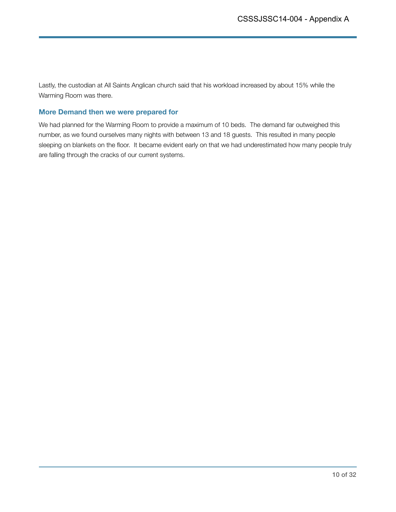Lastly, the custodian at All Saints Anglican church said that his workload increased by about 15% while the Warming Room was there.

### **More Demand then we were prepared for**

We had planned for the Warming Room to provide a maximum of 10 beds. The demand far outweighed this number, as we found ourselves many nights with between 13 and 18 guests. This resulted in many people sleeping on blankets on the floor. It became evident early on that we had underestimated how many people truly are falling through the cracks of our current systems.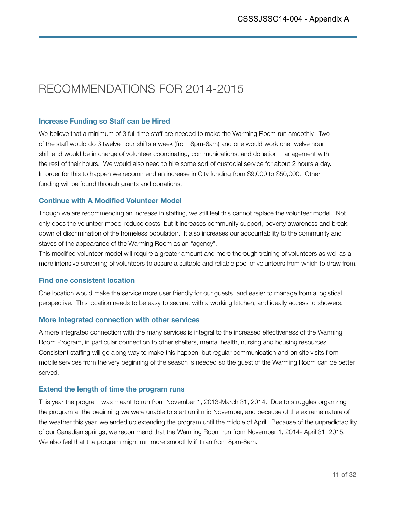# RECOMMENDATIONS FOR 2014-2015

### **Increase Funding so Staff can be Hired**

We believe that a minimum of 3 full time staff are needed to make the Warming Room run smoothly. Two of the staff would do 3 twelve hour shifts a week (from 8pm-8am) and one would work one twelve hour shift and would be in charge of volunteer coordinating, communications, and donation management with the rest of their hours. We would also need to hire some sort of custodial service for about 2 hours a day. In order for this to happen we recommend an increase in City funding from \$9,000 to \$50,000. Other funding will be found through grants and donations.

### **Continue with A Modified Volunteer Model**

Though we are recommending an increase in staffing, we still feel this cannot replace the volunteer model. Not only does the volunteer model reduce costs, but it increases community support, poverty awareness and break down of discrimination of the homeless population. It also increases our accountability to the community and staves of the appearance of the Warming Room as an "agency".

This modified volunteer model will require a greater amount and more thorough training of volunteers as well as a more intensive screening of volunteers to assure a suitable and reliable pool of volunteers from which to draw from.

### **Find one consistent location**

One location would make the service more user friendly for our guests, and easier to manage from a logistical perspective. This location needs to be easy to secure, with a working kitchen, and ideally access to showers.

### **More Integrated connection with other services**

A more integrated connection with the many services is integral to the increased effectiveness of the Warming Room Program, in particular connection to other shelters, mental health, nursing and housing resources. Consistent staffing will go along way to make this happen, but regular communication and on site visits from mobile services from the very beginning of the season is needed so the guest of the Warming Room can be better served.

### **Extend the length of time the program runs**

This year the program was meant to run from November 1, 2013-March 31, 2014. Due to struggles organizing the program at the beginning we were unable to start until mid November, and because of the extreme nature of the weather this year, we ended up extending the program until the middle of April. Because of the unpredictability of our Canadian springs, we recommend that the Warming Room run from November 1, 2014- April 31, 2015. We also feel that the program might run more smoothly if it ran from 8pm-8am.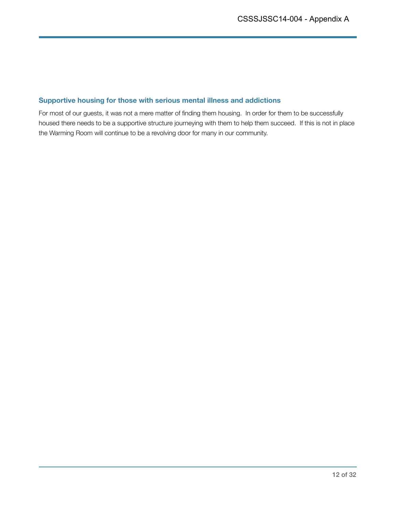### **Supportive housing for those with serious mental illness and addictions**

For most of our guests, it was not a mere matter of finding them housing. In order for them to be successfully housed there needs to be a supportive structure journeying with them to help them succeed. If this is not in place the Warming Room will continue to be a revolving door for many in our community.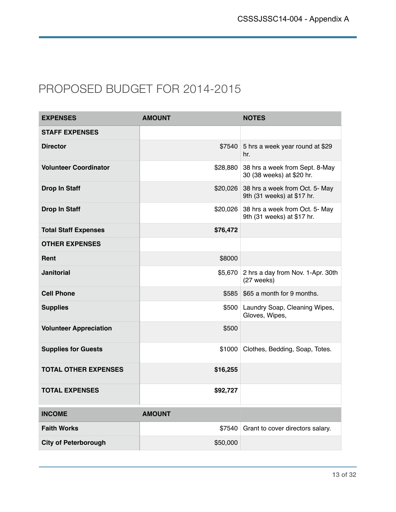### PROPOSED BUDGET FOR 2014-2015

| <b>EXPENSES</b>               | <b>AMOUNT</b> | <b>NOTES</b>                                                 |
|-------------------------------|---------------|--------------------------------------------------------------|
| <b>STAFF EXPENSES</b>         |               |                                                              |
| <b>Director</b>               | \$7540        | 5 hrs a week year round at \$29<br>hr.                       |
| <b>Volunteer Coordinator</b>  | \$28,880      | 38 hrs a week from Sept. 8-May<br>30 (38 weeks) at \$20 hr.  |
| <b>Drop In Staff</b>          | \$20,026      | 38 hrs a week from Oct. 5- May<br>9th (31 weeks) at \$17 hr. |
| Drop In Staff                 | \$20,026      | 38 hrs a week from Oct. 5- May<br>9th (31 weeks) at \$17 hr. |
| <b>Total Staff Expenses</b>   | \$76,472      |                                                              |
| <b>OTHER EXPENSES</b>         |               |                                                              |
| Rent                          | \$8000        |                                                              |
| <b>Janitorial</b>             | \$5,670       | 2 hrs a day from Nov. 1-Apr. 30th<br>(27 weeks)              |
| <b>Cell Phone</b>             | \$585         | \$65 a month for 9 months.                                   |
| <b>Supplies</b>               | \$500         | Laundry Soap, Cleaning Wipes,<br>Gloves, Wipes,              |
| <b>Volunteer Appreciation</b> | \$500         |                                                              |
| <b>Supplies for Guests</b>    | \$1000        | Clothes, Bedding, Soap, Totes.                               |
| <b>TOTAL OTHER EXPENSES</b>   | \$16,255      |                                                              |
| <b>TOTAL EXPENSES</b>         | \$92,727      |                                                              |
| <b>INCOME</b>                 | <b>AMOUNT</b> |                                                              |
| <b>Faith Works</b>            | \$7540        | Grant to cover directors salary.                             |
| <b>City of Peterborough</b>   | \$50,000      |                                                              |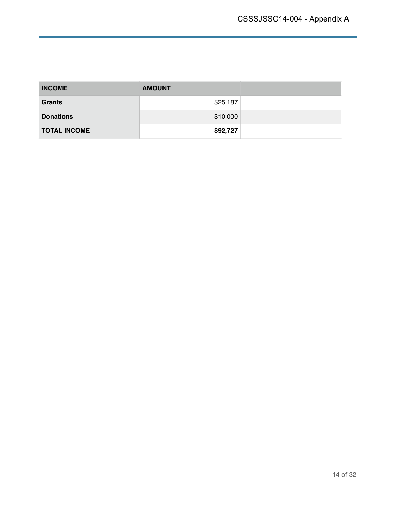| <b>INCOME</b>       | <b>AMOUNT</b> |  |
|---------------------|---------------|--|
| <b>Grants</b>       | \$25,187      |  |
| <b>Donations</b>    | \$10,000      |  |
| <b>TOTAL INCOME</b> | \$92,727      |  |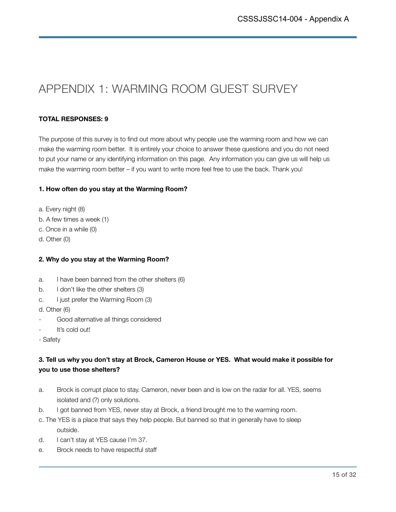# APPENDIX 1: WARMING ROOM GUEST SURVEY

### **TOTAL RESPONSES: 9**

The purpose of this survey is to find out more about why people use the warming room and how we can make the warming room better. It is entirely your choice to answer these questions and you do not need to put your name or any identifying information on this page. Any information you can give us will help us make the warming room better – if you want to write more feel free to use the back. Thank you!

### **1. How often do you stay at the Warming Room?**

- a. Every night (8)
- b. A few times a week (1)
- c. Once in a while (0)
- d. Other (0)

### **2. Why do you stay at the Warming Room?**

- a. I have been banned from the other shelters (6)
- b. I don't like the other shelters (3)
- c. I just prefer the Warming Room (3)
- d. Other (6)
- Good alternative all things considered
- It's cold out!
- Safety

### **3. Tell us why you don't stay at Brock, Cameron House or YES. What would make it possible for you to use those shelters?**

- a. Brock is corrupt place to stay. Cameron, never been and is low on the radar for all. YES, seems isolated and (?) only solutions.
- b. I got banned from YES, never stay at Brock, a friend brought me to the warming room.
- c. The YES is a place that says they help people. But banned so that in generally have to sleep outside.
- d. I can't stay at YES cause I'm 37.
- e. Brock needs to have respectful staff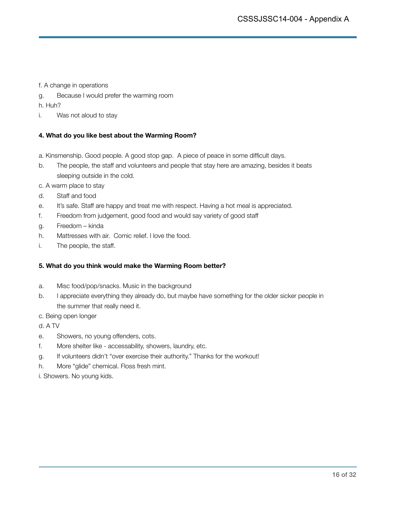f. Achange in operations

g. Because I would prefer the warming room

h. Huh?

i. Was not aloud to stay

### **4. What do you like best about the Warming Room?**

- a. Kinsmenship. Good people. A good stop gap. A piece of peace in some difficult days.
- b. The people, the staff and volunteers and people that stay here are amazing, besides it beats sleeping outside in the cold.
- c. Awarm place to stay
- d. Staff and food
- e. It's safe. Staff are happy and treat me with respect. Having a hot meal is appreciated.
- f. Freedom from judgement, good food and would say variety of good staff
- g. Freedom kinda
- h. Mattresses with air. Comic relief. I love the food.
- i. The people, the staff.

### **5. What do you think would make the Warming Room better?**

- a. Misc food/pop/snacks. Music in the background
- b. I appreciate everything they already do, but maybe have something for the older sicker people in the summer that really need it.
- c. Being open longer
- d. A TV
- e. Showers, no young offenders, cots.
- f. More shelter like accessability, showers, laundry, etc.
- g. If volunteers didn't "over exercise their authority." Thanks for the workout!
- h. More "glide" chemical. Floss fresh mint.

i. Showers. No young kids.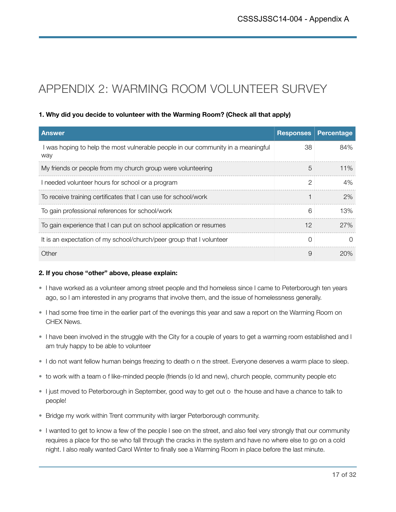# APPENDIX 2: WARMING ROOM VOLUNTEER SURVEY

### **1. Why did you decide to volunteer with the Warming Room? (Check all that apply)**

| <b>Answer</b>                                                                           | <b>Responses</b> | Percentage |
|-----------------------------------------------------------------------------------------|------------------|------------|
| I was hoping to help the most vulnerable people in our community in a meaningful<br>way | 38               | 84%        |
| My friends or people from my church group were volunteering                             | 5                | 11%        |
| I needed volunteer hours for school or a program                                        | $\mathcal{P}$    | 4%         |
| To receive training certificates that I can use for school/work                         |                  | 2%         |
| To gain professional references for school/work                                         | 6                | 13%        |
| To gain experience that I can put on school application or resumes                      | 12               | 27%        |
| It is an expectation of my school/church/peer group that I volunteer                    | $\Omega$         | ∩          |
| Other                                                                                   | 9                | 20%        |

### **2. If you chose "other" above, please explain:**

- I have worked as a volunteer among street people and thd homeless since I came to Peterborough ten years ago, so I am interested in any programs that involve them, and the issue of homelessness generally.
- I had some free time in the earlier part of the evenings this year and saw a report on the Warming Room on CHEX News.
- I have been involved in the struggle with the City for a couple of years to get a warming room established and I am truly happy to be able to volunteer
- I do not want fellow human beings freezing to death o n the street. Everyone deserves a warm place to sleep.
- to work with a team o f like-minded people (friends (o ld and new), church people, community people etc
- I just moved to Peterborough in September, good way to get out o the house and have a chance to talk to people!
- Bridge my work within Trent community with larger Peterborough community.
- I wanted to get to know a few of the people I see on the street, and also feel very strongly that our community requires a place for tho se who fall through the cracks in the system and have no where else to go on a cold night. I also really wanted Carol Winter to finally see a Warming Room in place before the last minute.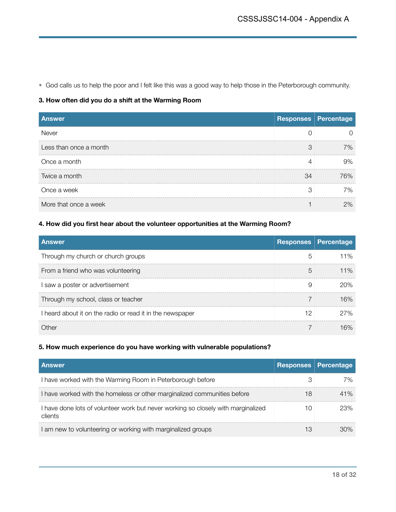• God calls us to help the poor and I felt like this was a good way to help those in the Peterborough community.

### **3. How often did you do a shift at the Warming Room**

| <b>Answer</b>          |    | <b>Responses Percentage</b> |
|------------------------|----|-----------------------------|
| Never                  | O  |                             |
| Less than once a month | 3  | 7%                          |
| Once a month           | 4  | 9%                          |
| Twice a month          | 34 | 76%                         |
| Once a week            | 3  | 7%                          |
| More that once a week  |    | 2%                          |

### **4. How did you first hear about the volunteer opportunities at the Warming Room?**

| <b>Answer</b>                                             |    | <b>Responses Percentage</b> |
|-----------------------------------------------------------|----|-----------------------------|
| Through my church or church groups                        | 5  | 11%                         |
| From a friend who was volunteering                        | 5  | 11%                         |
| saw a poster or advertisement                             | 9  | 20%                         |
| Through my school, class or teacher                       |    | 16%                         |
| I heard about it on the radio or read it in the newspaper | 12 | 27%                         |
| ∩ther                                                     |    | 16%                         |

### **5. How much experience do you have working with vulnerable populations?**

| <b>Answer</b>                                                                                | <b>Responses</b> | Percentage |
|----------------------------------------------------------------------------------------------|------------------|------------|
| I have worked with the Warming Room in Peterborough before                                   |                  | 7%         |
| I have worked with the homeless or other marginalized communities before                     | 18               | 41%        |
| I have done lots of volunteer work but never working so closely with marginalized<br>clients | 10               | 23%        |
| I am new to volunteering or working with marginalized groups                                 | 13               | 30%        |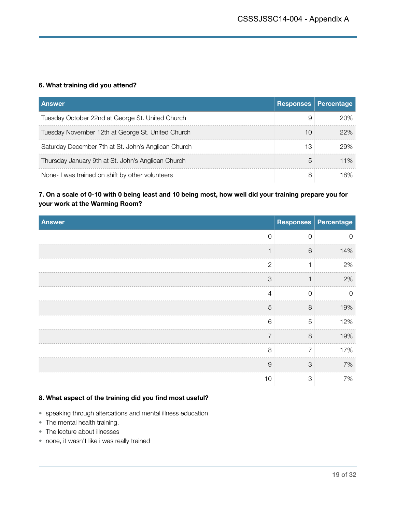### **6. What training did you attend?**

| <b>Answer</b>                                       | <b>Responses</b> | Percentage |
|-----------------------------------------------------|------------------|------------|
| Tuesday October 22nd at George St. United Church    | 9                | 20%        |
| Tuesday November 12th at George St. United Church   | 10               | 22%        |
| Saturday December 7th at St. John's Anglican Church | 13               | 29%        |
| Thursday January 9th at St. John's Anglican Church  | 5                | 11%        |
| None-I was trained on shift by other volunteers     | 8                | 18%        |

### **7. On a scale of 0-10 with 0 being least and 10 being most, how well did your training prepare you for your work at the Warming Room?**

| Answer         |             | Responses Percentage |
|----------------|-------------|----------------------|
| $\mathbf 0$    | $\mathbf 0$ | 0                    |
|                | 6           | 14%                  |
| $\overline{2}$ |             | 2%                   |
| 3              |             | 2%                   |
| $\overline{4}$ | $\Omega$    | $\Omega$             |
| 5              | 8           | 19%                  |
| 6              | 5           | 12%                  |
| $\overline{7}$ | 8           | 19%                  |
| 8              | 7           | 17%                  |
| $\overline{9}$ | 3           | 7%                   |
| 10             | 3           | 7%                   |

### **8. What aspect of the training did you find most useful?**

- speaking through altercations and mental illness education
- The mental health training.
- The lecture about illnesses
- none, it wasn't like i was really trained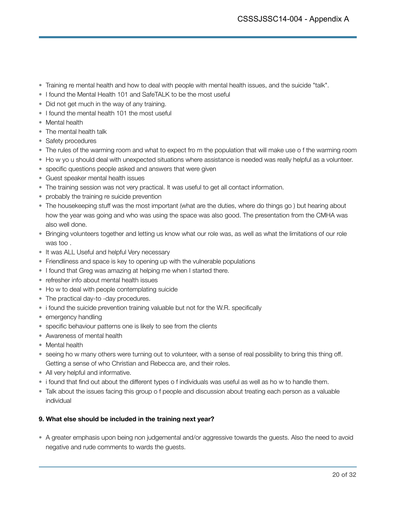- Training re mental health and how to deal with people with mental health issues, and the suicide "talk".
- I found the Mental Health 101 and SafeTALK to be the most useful
- Did not get much in the way of any training.
- I found the mental health 101 the most useful
- Mental health
- The mental health talk
- Safety procedures
- The rules of the warming room and what to expect fro m the population that will make use o f the warming room
- Ho w yo u should deal with unexpected situations where assistance is needed was really helpful as a volunteer.
- specific questions people asked and answers that were given
- Guest speaker mental health issues
- The training session was not very practical. It was useful to get all contact information.
- probably the training re suicide prevention
- The housekeeping stuff was the most important (what are the duties, where do things go ) but hearing about how the year was going and who was using the space was also good. The presentation from the CMHA was also well done.
- Bringing volunteers together and letting us know what our role was, as well as what the limitations of our role was too .
- It was ALL Useful and helpful Very necessary
- Friendliness and space is key to opening up with the vulnerable populations
- I found that Greg was amazing at helping me when I started there.
- refresher info about mental health issues
- Ho w to deal with people contemplating suicide
- The practical day-to -day procedures.
- i found the suicide prevention training valuable but not for the W.R. specifically
- emergency handling
- specific behaviour patterns one is likely to see from the clients
- Awareness of mental health
- Mental health
- seeing ho w many others were turning out to volunteer, with a sense of real possibility to bring this thing off. Getting a sense of who Christian and Rebecca are, and their roles.
- All very helpful and informative.
- i found that find out about the different types o f individuals was useful as well as ho w to handle them.
- Talk about the issues facing this group o f people and discussion about treating each person as a valuable individual

### **9. What else should be included in the training next year?**

• A greater emphasis upon being non judgemental and/or aggressive towards the guests. Also the need to avoid negative and rude comments to wards the guests.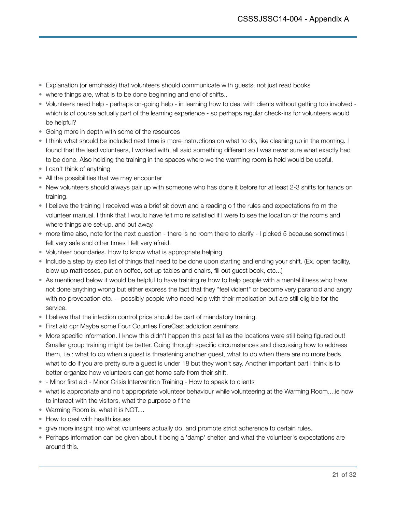- Explanation (or emphasis) that volunteers should communicate with guests, not just read books
- where things are, what is to be done beginning and end of shifts..
- Volunteers need help perhaps on-going help in learning how to deal with clients without getting too involved which is of course actually part of the learning experience - so perhaps regular check-ins for volunteers would be helpful?
- Going more in depth with some of the resources
- I think what should be included next time is more instructions on what to do, like cleaning up in the morning. I found that the lead volunteers, I worked with, all said something different so I was never sure what exactly had to be done. Also holding the training in the spaces where we the warming room is held would be useful.
- I can't think of anything
- All the possibilities that we may encounter
- New volunteers should always pair up with someone who has done it before for at least 2-3 shifts for hands on training.
- I believe the training I received was a brief sit down and a reading o f the rules and expectations fro m the volunteer manual. I think that I would have felt mo re satisfied if I were to see the location of the rooms and where things are set-up, and put away.
- more time also, note for the next question there is no room there to clarify I picked 5 because sometimes I felt very safe and other times I felt very afraid.
- Volunteer boundaries. How to know what is appropriate helping
- Include a step by step list of things that need to be done upon starting and ending your shift. (Ex. open facility, blow up mattresses, put on coffee, set up tables and chairs, fill out guest book, etc...)
- As mentioned below it would be helpful to have training re how to help people with a mental illness who have not done anything wrong but either express the fact that they "feel violent" or become very paranoid and angry with no provocation etc. -- possibly people who need help with their medication but are still eligible for the service.
- I believe that the infection control price should be part of mandatory training.
- First aid cpr Maybe some Four Counties ForeCast addiction seminars
- More specific information. I know this didn't happen this past fall as the locations were still being figured out! Smaller group training might be better. Going through specific circumstances and discussing how to address them, i.e.: what to do when a guest is threatening another guest, what to do when there are no more beds, what to do if you are pretty sure a guest is under 18 but they won't say. Another important part I think is to better organize how volunteers can get home safe from their shift.
- - Minor first aid Minor Crisis Intervention Training How to speak to clients
- what is appropriate and no t appropriate volunteer behaviour while volunteering at the Warming Room....ie how to interact with the visitors, what the purpose o f the
- Warming Room is, what it is NOT....
- How to deal with health issues
- give more insight into what volunteers actually do, and promote strict adherence to certain rules.
- Perhaps information can be given about it being a 'damp' shelter, and what the volunteer's expectations are around this.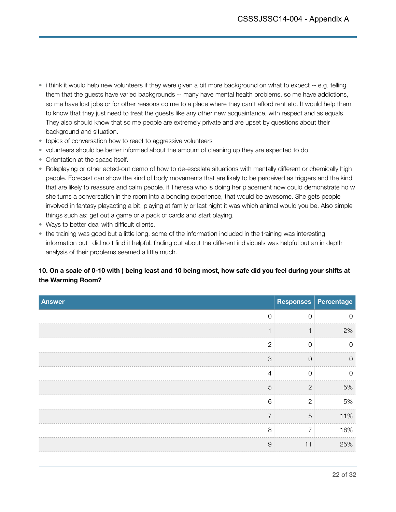- i think it would help new volunteers if they were given a bit more background on what to expect -- e.g. telling them that the guests have varied backgrounds -- many have mental health problems, so me have addictions, so me have lost jobs or for other reasons co me to a place where they can't afford rent etc. It would help them to know that they just need to treat the guests like any other new acquaintance, with respect and as equals. They also should know that so me people are extremely private and are upset by questions about their background and situation.
- topics of conversation how to react to aggressive volunteers
- volunteers should be better informed about the amount of cleaning up they are expected to do
- Orientation at the space itself.
- Roleplaying or other acted-out demo of how to de-escalate situations with mentally different or chemically high people. Forecast can show the kind of body movements that are likely to be perceived as triggers and the kind that are likely to reassure and calm people. if Theresa who is doing her placement now could demonstrate ho w she turns a conversation in the room into a bonding experience, that would be awesome. She gets people involved in fantasy playacting a bit, playing at family or last night it was which animal would you be. Also simple things such as: get out a game or a pack of cards and start playing.
- Ways to better deal with difficult clients.
- the training was good but a little long. some of the information included in the training was interesting information but i did no t find it helpful. finding out about the different individuals was helpful but an in depth analysis of their problems seemed a little much.

### **10. On a scale of 0-10 with ) being least and 10 being most, how safe did you feel during your shifts at the Warming Room?**

| <b>Answer</b>  |                | Responses   Percentage |
|----------------|----------------|------------------------|
| $\overline{0}$ | $\cap$         | 0                      |
|                |                | 2%                     |
| $\overline{2}$ | ∩              | $\Omega$               |
| 3              | $\Omega$       | $\Omega$               |
| $\overline{4}$ | $\Omega$       | $\Omega$               |
| 5              | $\mathcal{P}$  | 5%                     |
| 6              | $\overline{2}$ | 5%                     |
| $\overline{7}$ | 5              | 11%                    |
| 8              | 7              | 16%                    |
| $\overline{9}$ | 11             | 25%                    |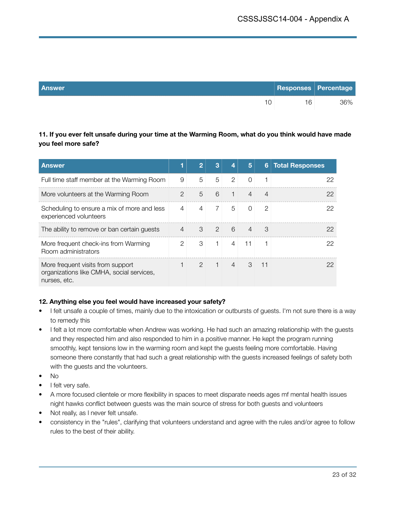| Answer | Responses Percentage |     |
|--------|----------------------|-----|
| 10     | 16                   | 36% |

**11. If you ever felt unsafe during your time at the Warming Room, what do you think would have made you feel more safe?** 

| <b>Answer</b>                                                                                  |                | 2             | 3              | 4              | 5              | 6  | <b>Total Responses</b> |
|------------------------------------------------------------------------------------------------|----------------|---------------|----------------|----------------|----------------|----|------------------------|
| Full time staff member at the Warming Room                                                     | 9              | 5             | 5              | $\overline{2}$ | $\Omega$       |    | 22                     |
| More volunteers at the Warming Room                                                            | $\mathcal{P}$  | 5             | 6              |                | $\overline{4}$ | 4  | 22                     |
| Scheduling to ensure a mix of more and less<br>experienced volunteers                          | 4              | 4             | $\overline{7}$ | 5              | $\Omega$       | 2  | 22                     |
| The ability to remove or ban certain guests                                                    | $\overline{4}$ | 3             | $\mathcal{P}$  | 6              | $\overline{4}$ | 3  | 22                     |
| More frequent check-ins from Warming<br>Room administrators                                    | 2              | 3             | 1              | 4              | 11             |    | 22                     |
| More frequent visits from support<br>organizations like CMHA, social services,<br>nurses, etc. |                | $\mathcal{P}$ |                | 4              | 3              | 11 | 22                     |

### **12. Anything else you feel would have increased your safety?**

- I felt unsafe a couple of times, mainly due to the intoxication or outbursts of guests. I'm not sure there is a way to remedy this
- I felt a lot more comfortable when Andrew was working. He had such an amazing relationship with the guests and they respected him and also responded to him in a positive manner. He kept the program running smoothly, kept tensions low in the warming room and kept the guests feeling more comfortable. Having someone there constantly that had such a great relationship with the guests increased feelings of safety both with the guests and the volunteers.
- No
- I felt very safe.
- A more focused clientele or more flexibility in spaces to meet disparate needs ages mf mental health issues night hawks conflict between guests was the main source of stress for both guests and volunteers
- Not really, as I never felt unsafe.
- consistency in the "rules", clarifying that volunteers understand and agree with the rules and/or agree to follow rules to the best of their ability.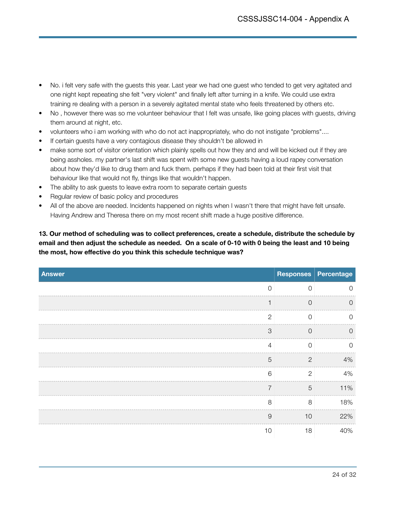- No. i felt very safe with the guests this year. Last year we had one guest who tended to get very agitated and one night kept repeating she felt "very violent" and finally left after turning in a knife. We could use extra training re dealing with a person in a severely agitated mental state who feels threatened by others etc.
- No , however there was so me volunteer behaviour that I felt was unsafe, like going places with guests, driving them around at night, etc.
- volunteers who i am working with who do not act inappropriately, who do not instigate "problems"....
- If certain guests have a very contagious disease they shouldn't be allowed in
- make some sort of visitor orientation which plainly spells out how they and and will be kicked out if they are being assholes. my partner's last shift was spent with some new guests having a loud rapey conversation about how they'd like to drug them and fuck them. perhaps if they had been told at their first visit that behaviour like that would not fly, things like that wouldn't happen.
- The ability to ask guests to leave extra room to separate certain guests
- Regular review of basic policy and procedures
- All of the above are needed. Incidents happened on nights when I wasn't there that might have felt unsafe. Having Andrew and Theresa there on my most recent shift made a huge positive difference.

**13. Our method of scheduling was to collect preferences, create a schedule, distribute the schedule by email and then adjust the schedule as needed. On a scale of 0-10 with 0 being the least and 10 being the most, how effective do you think this schedule technique was?** 

| <b>Answer</b>  |                | Responses   Percentage |
|----------------|----------------|------------------------|
| $\mathbf 0$    | $\Omega$       | $\Omega$               |
|                | $\overline{0}$ | $\sqrt{a}$             |
| $\overline{c}$ | $\Omega$       | $\overline{0}$         |
| 3              | $\Omega$       | $\overline{0}$         |
| $\overline{4}$ | $\Omega$       | $\overline{0}$         |
| 5              | $\overline{2}$ | 4%                     |
| 6              | $\overline{2}$ | 4%                     |
| $\overline{7}$ | 5              | 11%                    |
| 8              | 8              | 18%                    |
| $\overline{9}$ | 10             | 22%                    |
| 10             | 18             | 40%                    |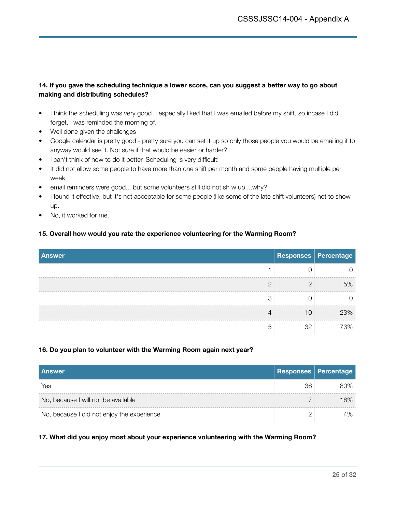### **14. If you gave the scheduling technique a lower score, can you suggest a better way to go about making and distributing schedules?**

- I think the scheduling was very good. I especially liked that I was emailed before my shift, so incase I did forget, I was reminded the morning of.
- Well done given the challenges
- Google calendar is pretty good pretty sure you can set it up so only those people you would be emailing it to anyway would see it. Not sure if that would be easier or harder?
- I can't think of how to do it better. Scheduling is very difficult!
- It did not allow some people to have more than one shift per month and some people having multiple per week
- email reminders were good....but some volunteers still did not sh w up....why?
- I found it effective, but it's not acceptable for some people (like some of the late shift volunteers) not to show up.
- No, it worked for me.

### **15. Overall how would you rate the experience volunteering for the Warming Room?**

| <b>Answer</b> |              | Responses   Percentage |
|---------------|--------------|------------------------|
|               |              |                        |
| ∩             |              | 5%                     |
| З             |              |                        |
|               | 10           | 23%                    |
| G             | $32^{\circ}$ | 73%                    |

### **16. Do you plan to volunteer with the Warming Room again next year?**

| <b>Answer</b>                              |    | <b>Responses Percentage</b> |
|--------------------------------------------|----|-----------------------------|
| Yes                                        | 36 | 80%                         |
| No, because I will not be available        |    | 16%                         |
| No, because I did not enjoy the experience |    | 4%                          |

### **17. What did you enjoy most about your experience volunteering with the Warming Room?**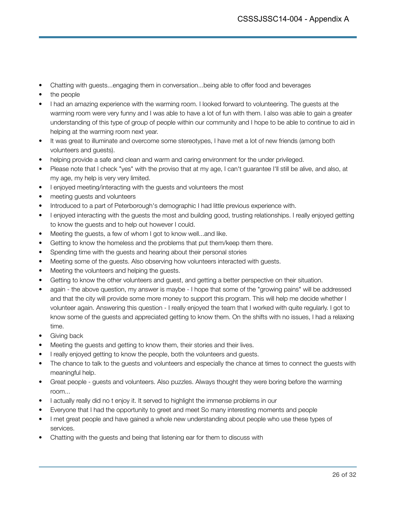- Chatting with guests...engaging them in conversation...being able to offer food and beverages
- the people
- I had an amazing experience with the warming room. I looked forward to volunteering. The guests at the warming room were very funny and I was able to have a lot of fun with them. I also was able to gain a greater understanding of this type of group of people within our community and I hope to be able to continue to aid in helping at the warming room next year.
- It was great to illuminate and overcome some stereotypes, I have met a lot of new friends (among both volunteers and guests).
- helping provide a safe and clean and warm and caring environment for the under privileged.
- Please note that I check "yes" with the proviso that at my age, I can't guarantee I'll still be alive, and also, at my age, my help is very very limited.
- I enjoyed meeting/interacting with the guests and volunteers the most
- meeting guests and volunteers
- Introduced to a part of Peterborough's demographic I had little previous experience with.
- I enjoyed interacting with the quests the most and building good, trusting relationships. I really enjoyed getting to know the guests and to help out however I could.
- Meeting the guests, a few of whom I got to know well...and like.
- Getting to know the homeless and the problems that put them/keep them there.
- Spending time with the guests and hearing about their personal stories
- Meeting some of the guests. Also observing how volunteers interacted with guests.
- Meeting the volunteers and helping the guests.
- Getting to know the other volunteers and guest, and getting a better perspective on their situation.
- again the above question, my answer is maybe I hope that some of the "growing pains" will be addressed and that the city will provide some more money to support this program. This will help me decide whether I volunteer again. Answering this question - I really enjoyed the team that I worked with quite regularly. I got to know some of the guests and appreciated getting to know them. On the shifts with no issues, I had a relaxing time.
- Giving back
- Meeting the guests and getting to know them, their stories and their lives.
- I really enjoyed getting to know the people, both the volunteers and guests.
- The chance to talk to the quests and volunteers and especially the chance at times to connect the quests with meaningful help.
- Great people guests and volunteers. Also puzzles. Always thought they were boring before the warming room...
- I actually really did no t enjoy it. It served to highlight the immense problems in our
- Everyone that I had the opportunity to greet and meet So many interesting moments and people
- I met great people and have gained a whole new understanding about people who use these types of services.
- Chatting with the guests and being that listening ear for them to discuss with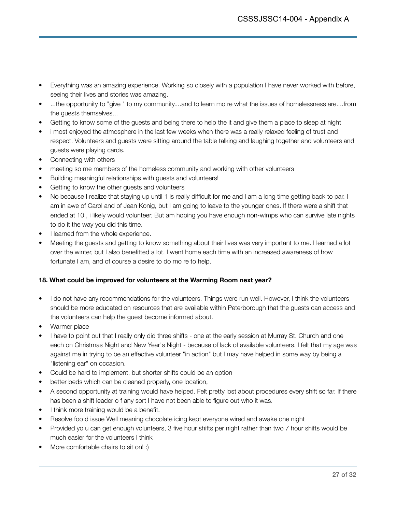- Everything was an amazing experience. Working so closely with a population I have never worked with before, seeing their lives and stories was amazing.
- ...the opportunity to "give " to my community....and to learn mo re what the issues of homelessness are....from the guests themselves...
- Getting to know some of the guests and being there to help the it and give them a place to sleep at night
- i most enjoyed the atmosphere in the last few weeks when there was a really relaxed feeling of trust and respect. Volunteers and guests were sitting around the table talking and laughing together and volunteers and guests were playing cards.
- Connecting with others
- meeting so me members of the homeless community and working with other volunteers
- Building meaningful relationships with guests and volunteers!
- Getting to know the other guests and volunteers
- No because I realize that staying up until 1 is really difficult for me and I am a long time getting back to par. I am in awe of Carol and of Jean Konig, but I am going to leave to the younger ones. If there were a shift that ended at 10 , i likely would volunteer. But am hoping you have enough non-wimps who can survive late nights to do it the way you did this time.
- I learned from the whole experience.
- Meeting the guests and getting to know something about their lives was very important to me. I learned a lot over the winter, but I also benefitted a lot. I went home each time with an increased awareness of how fortunate I am, and of course a desire to do mo re to help.

### **18. What could be improved for volunteers at the Warming Room next year?**

- I do not have any recommendations for the volunteers. Things were run well. However, I think the volunteers should be more educated on resources that are available within Peterborough that the guests can access and the volunteers can help the guest become informed about.
- Warmer place
- I have to point out that I really only did three shifts one at the early session at Murray St. Church and one each on Christmas Night and New Year's Night - because of lack of available volunteers. I felt that my age was against me in trying to be an effective volunteer "in action" but I may have helped in some way by being a "listening ear" on occasion.
- Could be hard to implement, but shorter shifts could be an option
- better beds which can be cleaned properly, one location,
- A second opportunity at training would have helped. Felt pretty lost about procedures every shift so far. If there has been a shift leader o f any sort I have not been able to figure out who it was.
- I think more training would be a benefit.
- Resolve foo d issue Well meaning chocolate icing kept everyone wired and awake one night
- Provided yo u can get enough volunteers, 3 five hour shifts per night rather than two 7 hour shifts would be much easier for the volunteers I think
- More comfortable chairs to sit on! :)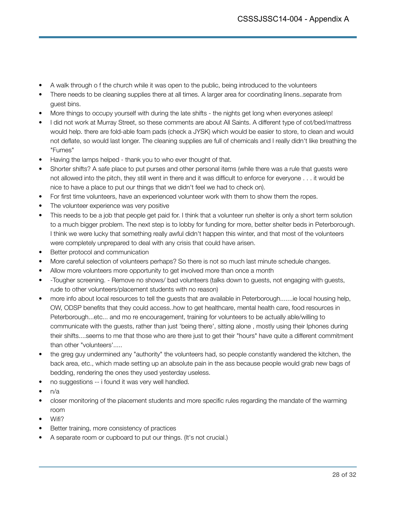- A walk through o f the church while it was open to the public, being introduced to the volunteers
- There needs to be cleaning supplies there at all times. A larger area for coordinating linens..separate from guest bins.
- More things to occupy yourself with during the late shifts the nights get long when everyones asleep!
- I did not work at Murray Street, so these comments are about All Saints. A different type of cot/bed/mattress would help. there are fold-able foam pads (check a JYSK) which would be easier to store, to clean and would not deflate, so would last longer. The cleaning supplies are full of chemicals and I really didn't like breathing the "Fumes"
- Having the lamps helped thank you to who ever thought of that.
- Shorter shifts? A safe place to put purses and other personal items (while there was a rule that guests were not allowed into the pitch, they still went in there and it was difficult to enforce for everyone . . . it would be nice to have a place to put our things that we didn't feel we had to check on).
- For first time volunteers, have an experienced volunteer work with them to show them the ropes.
- The volunteer experience was very positive
- This needs to be a job that people get paid for. I think that a volunteer run shelter is only a short term solution to a much bigger problem. The next step is to lobby for funding for more, better shelter beds in Peterborough. I think we were lucky that something really awful didn't happen this winter, and that most of the volunteers were completely unprepared to deal with any crisis that could have arisen.
- Better protocol and communication
- More careful selection of volunteers perhaps? So there is not so much last minute schedule changes.
- Allow more volunteers more opportunity to get involved more than once a month
- -Tougher screening. Remove no shows/ bad volunteers (talks down to guests, not engaging with guests, rude to other volunteers/placement students with no reason)
- more info about local resources to tell the guests that are available in Peterborough.......ie local housing help, OW, ODSP benefits that they could access..how to get healthcare, mental health care, food resources in Peterborough...etc... and mo re encouragement, training for volunteers to be actually able/willing to communicate with the guests, rather than just 'being there', sitting alone , mostly using their Iphones during their shifts....seems to me that those who are there just to get their "hours" have quite a different commitment than other "volunteers'.....
- the greg guy undermined any "authority" the volunteers had, so people constantly wandered the kitchen, the back area, etc., which made setting up an absolute pain in the ass because people would grab new bags of bedding, rendering the ones they used yesterday useless.
- no suggestions -- i found it was very well handled.
- $\bullet$  n/a
- closer monitoring of the placement students and more specific rules regarding the mandate of the warming room
- Wifi?
- Better training, more consistency of practices
- A separate room or cupboard to put our things. (It's not crucial.)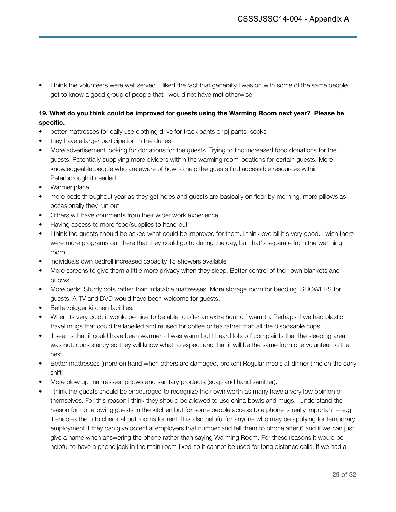• I think the volunteers were well served. I liked the fact that generally I was on with some of the same people. I got to know a good group of people that I would not have met otherwise.

### **19. What do you think could be improved for guests using the Warming Room next year? Please be specific.**

- better mattresses for daily use clothing drive for track pants or pj pants; socks
- they have a larger participation in the duties
- More advertisement looking for donations for the guests. Trying to find increased food donations for the guests. Potentially supplying more dividers within the warming room locations for certain guests. More knowledgeable people who are aware of how to help the guests find accessible resources within Peterborough if needed.
- Warmer place
- more beds throughout year as they get holes and guests are basically on floor by morning. more pillows as occasionally they run out
- Others will have comments from their wider work experience.
- Having access to more food/supplies to hand out
- I think the guests should be asked what could be improved for them. I think overall it's very good. I wish there were more programs out there that they could go to during the day, but that's separate from the warming room.
- individuals own bedroll increased capacity 15 showers available
- More screens to give them a little more privacy when they sleep. Better control of their own blankets and pillows
- More beds. Sturdy cots rather than inflatable mattresses. More storage room for bedding. SHOWERS for guests. A TV and DVD would have been welcome for guests.
- Better/bigger kitchen facilities.
- When its very cold, it would be nice to be able to offer an extra hour o f warmth. Perhaps if we had plastic travel mugs that could be labelled and reused for coffee or tea rather than all the disposable cups.
- it seems that it could have been warmer I was warm but I heard lots o f complaints that the sleeping area was not. consistency so they will know what to expect and that it will be the same from one volunteer to the next.
- Better mattresses (more on hand when others are damaged, broken) Regular meals at dinner time on the early shift
- More blow up mattresses, pillows and sanitary products (soap and hand sanitzer).
- i think the guests should be encouraged to recognize their own worth as many have a very low opinion of themselves. For this reason i think they should be allowed to use china bowls and mugs. i understand the reason for not allowing guests in the kitchen but for some people access to a phone is really important -- e.g. it enables them to check about rooms for rent. It is also helpful for anyone who may be applying for temporary employment if they can give potential employers that number and tell them to phone after 6 and if we can just give a name when answering the phone rather than saying Warming Room. For these reasons it would be helpful to have a phone jack in the main room fixed so it cannot be used for long distance calls. If we had a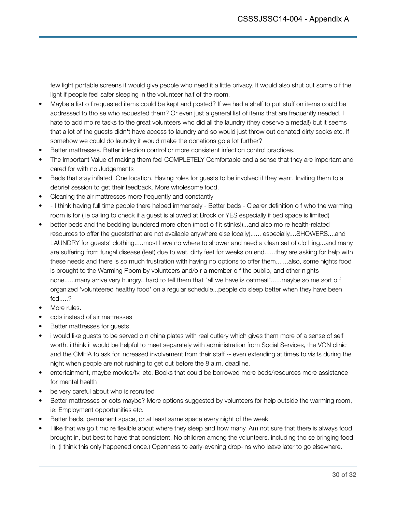few light portable screens it would give people who need it a little privacy. It would also shut out some o f the light if people feel safer sleeping in the volunteer half of the room.

- Maybe a list o f requested items could be kept and posted? If we had a shelf to put stuff on items could be addressed to tho se who requested them? Or even just a general list of items that are frequently needed. I hate to add mo re tasks to the great volunteers who did all the laundry (they deserve a medal!) but it seems that a lot of the guests didn't have access to laundry and so would just throw out donated dirty socks etc. If somehow we could do laundry it would make the donations go a lot further?
- Better mattresses. Better infection control or more consistent infection control practices.
- The Important Value of making them feel COMPLETELY Comfortable and a sense that they are important and cared for with no Judgements
- Beds that stay inflated. One location. Having roles for guests to be involved if they want. Inviting them to a debrief session to get their feedback. More wholesome food.
- Cleaning the air mattresses more frequently and constantly
- - I think having full time people there helped immensely Better beds Clearer definition o f who the warming room is for ( ie calling to check if a guest is allowed at Brock or YES especially if bed space is limited)
- better beds and the bedding laundered more often (most o f it stinks!)...and also mo re health-related resources to offer the guests(that are not available anywhere else locally)...... especially....SHOWERS....and LAUNDRY for guests' clothing.....most have no where to shower and need a clean set of clothing...and many are suffering from fungal disease (feet) due to wet, dirty feet for weeks on end......they are asking for help with these needs and there is so much frustration with having no options to offer them.......also, some nights food is brought to the Warming Room by volunteers and/o r a member o f the public, and other nights none......many arrive very hungry...hard to tell them that "all we have is oatmeal"......maybe so me sort o f organized 'volunteered healthy food' on a regular schedule...people do sleep better when they have been fed.....?
- More rules.
- cots instead of air mattresses
- Better mattresses for guests.
- i would like guests to be served o n china plates with real cutlery which gives them more of a sense of self worth. i think it would be helpful to meet separately with administration from Social Services, the VON clinic and the CMHA to ask for increased involvement from their staff -- even extending at times to visits during the night when people are not rushing to get out before the 8 a.m. deadline.
- entertainment, maybe movies/tv, etc. Books that could be borrowed more beds/resources more assistance for mental health
- be very careful about who is recruited
- Better mattresses or cots maybe? More options suggested by volunteers for help outside the warming room, ie: Employment opportunities etc.
- Better beds, permanent space, or at least same space every night of the week
- I like that we go t mo re flexible about where they sleep and how many. Am not sure that there is always food brought in, but best to have that consistent. No children among the volunteers, including tho se bringing food in. (I think this only happened once.) Openness to early-evening drop-ins who leave later to go elsewhere.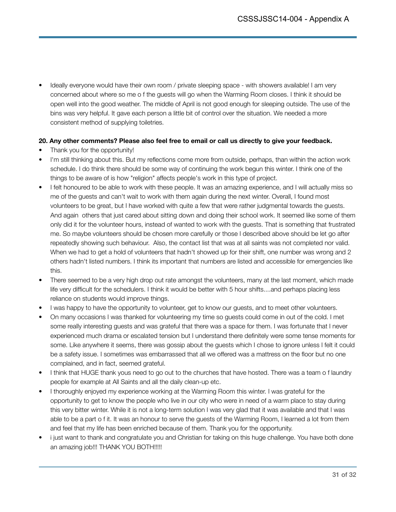Ideally everyone would have their own room / private sleeping space - with showers available! I am very concerned about where so me o f the guests will go when the Warming Room closes. I think it should be open well into the good weather. The middle of April is not good enough for sleeping outside. The use of the bins was very helpful. It gave each person a little bit of control over the situation. We needed a more consistent method of supplying toiletries.

### **20. Any other comments? Please also feel free to email or call us directly to give your feedback.**

- Thank you for the opportunity!
- I'm still thinking about this. But my reflections come more from outside, perhaps, than within the action work schedule. I do think there should be some way of continuing the work begun this winter. I think one of the things to be aware of is how "religion" affects people's work in this type of project.
- I felt honoured to be able to work with these people. It was an amazing experience, and I will actually miss so me of the guests and can't wait to work with them again during the next winter. Overall, I found most volunteers to be great, but I have worked with quite a few that were rather judgmental towards the guests. And again others that just cared about sitting down and doing their school work. It seemed like some of them only did it for the volunteer hours, instead of wanted to work with the guests. That is something that frustrated me. So maybe volunteers should be chosen more carefully or those I described above should be let go after repeatedly showing such behaviour. Also, the contact list that was at all saints was not completed nor valid. When we had to get a hold of volunteers that hadn't showed up for their shift, one number was wrong and 2 others hadn't listed numbers. I think its important that numbers are listed and accessible for emergencies like this.
- There seemed to be a very high drop out rate amongst the volunteers, many at the last moment, which made life very difficult for the schedulers. I think it would be better with 5 hour shifts....and perhaps placing less reliance on students would improve things.
- I was happy to have the opportunity to volunteer, get to know our guests, and to meet other volunteers.
- On many occasions I was thanked for volunteering my time so guests could come in out of the cold. I met some really interesting guests and was grateful that there was a space for them. I was fortunate that I never experienced much drama or escalated tension but I understand there definitely were some tense moments for some. Like anywhere it seems, there was gossip about the guests which I chose to ignore unless I felt it could be a safety issue. I sometimes was embarrassed that all we offered was a mattress on the floor but no one complained, and in fact, seemed grateful.
- I think that HUGE thank yous need to go out to the churches that have hosted. There was a team o f laundry people for example at All Saints and all the daily clean-up etc.
- I thoroughly enjoyed my experience working at the Warming Room this winter. I was grateful for the opportunity to get to know the people who live in our city who were in need of a warm place to stay during this very bitter winter. While it is not a long-term solution I was very glad that it was available and that I was able to be a part o f it. It was an honour to serve the guests of the Warming Room, I learned a lot from them and feel that my life has been enriched because of them. Thank you for the opportunity.
- i just want to thank and congratulate you and Christian for taking on this huge challenge. You have both done an amazing job!!! THANK YOU BOTH!!!!!